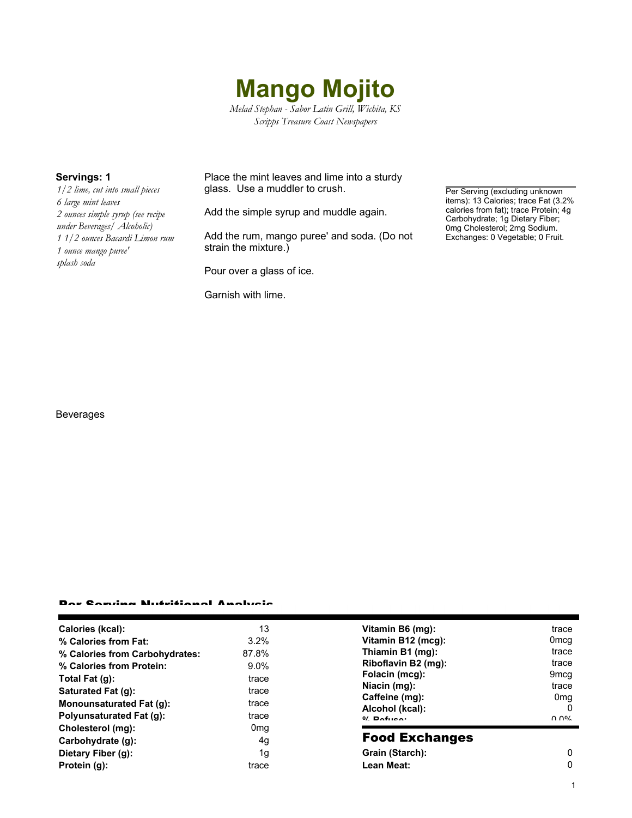

*Melad Stephan - Sabor Latin Grill, Wichita, KS Scripps Treasure Coast Newspapers*

*1/2 lime, cut into small pieces 6 large mint leaves 2 ounces simple syrup (see recipe under Beverages/ Alcoholic) 1 1/2 ounces Bacardi Limon rum 1 ounce mango puree' splash soda*

**Servings: 1** Place the mint leaves and lime into a sturdy glass. Use a muddler to crush.

Add the simple syrup and muddle again.

Add the rum, mango puree' and soda. (Do not strain the mixture.)

Pour over a glass of ice.

Garnish with lime.

Per Serving (excluding unknown items): 13 Calories; trace Fat (3.2% calories from fat); trace Protein; 4g Carbohydrate; 1g Dietary Fiber; 0mg Cholesterol; 2mg Sodium. Exchanges: 0 Vegetable; 0 Fruit.

## Beverages

### Per Serving Nutritional Analysis

| Calories (kcal):               | 13              | Vitamin B6 (mg):      | trace            |
|--------------------------------|-----------------|-----------------------|------------------|
| % Calories from Fat:           | $3.2\%$         | Vitamin B12 (mcg):    | 0 <sub>mcq</sub> |
| % Calories from Carbohydrates: | 87.8%           | Thiamin B1 (mg):      | trace            |
| % Calories from Protein:       | $9.0\%$         | Riboflavin B2 (mg):   | trace            |
| Total Fat (g):                 | trace           | Folacin (mcg):        | 9 <sub>mcq</sub> |
| Saturated Fat (g):             | trace           | Niacin (mg):          | trace            |
| Monounsaturated Fat (q):       | trace           | Caffeine (mg):        | 0 <sub>mg</sub>  |
|                                |                 | Alcohol (kcal):       | $\Omega$         |
| Polyunsaturated Fat (q):       | trace           | $0/2$ Pofileon        | በ በ%             |
| Cholesterol (mg):              | 0 <sub>mq</sub> |                       |                  |
| Carbohydrate (g):              | 4g              | <b>Food Exchanges</b> |                  |
| Dietary Fiber (g):             | 1g              | Grain (Starch):       | $\Omega$         |
| Protein (g):                   | trace           | Lean Meat:            | $\mathbf{0}$     |
|                                |                 |                       |                  |